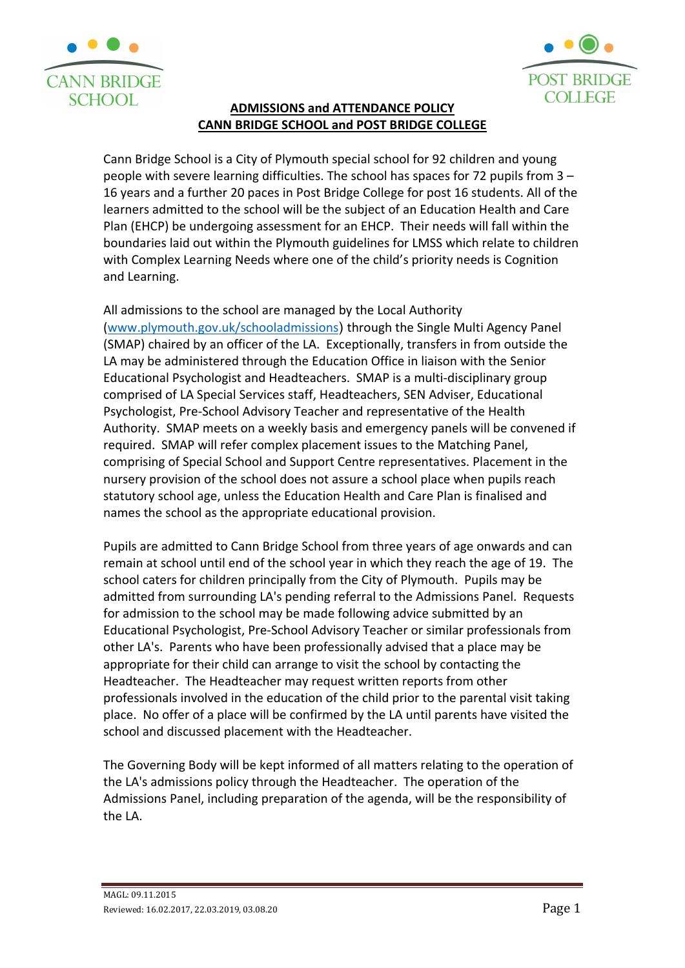



# **ADMISSIONS and ATTENDANCE POLICY CANN BRIDGE SCHOOL and POST BRIDGE COLLEGE**

Cann Bridge School is a City of Plymouth special school for 92 children and young people with severe learning difficulties. The school has spaces for 72 pupils from 3 – 16 years and a further 20 paces in Post Bridge College for post 16 students. All of the learners admitted to the school will be the subject of an Education Health and Care Plan (EHCP) be undergoing assessment for an EHCP. Their needs will fall within the boundaries laid out within the Plymouth guidelines for LMSS which relate to children with Complex Learning Needs where one of the child's priority needs is Cognition and Learning.

All admissions to the school are managed by the Local Authority [\(www.plymouth.gov.uk/schooladmissions](http://www.plymouth.gov.uk/schooladmissions)) through the Single Multi Agency Panel (SMAP) chaired by an officer of the LA. Exceptionally, transfers in from outside the LA may be administered through the Education Office in liaison with the Senior Educational Psychologist and Headteachers. SMAP is a multi-disciplinary group comprised of LA Special Services staff, Headteachers, SEN Adviser, Educational Psychologist, Pre-School Advisory Teacher and representative of the Health Authority. SMAP meets on a weekly basis and emergency panels will be convened if required. SMAP will refer complex placement issues to the Matching Panel, comprising of Special School and Support Centre representatives. Placement in the nursery provision of the school does not assure a school place when pupils reach statutory school age, unless the Education Health and Care Plan is finalised and names the school as the appropriate educational provision.

Pupils are admitted to Cann Bridge School from three years of age onwards and can remain at school until end of the school year in which they reach the age of 19. The school caters for children principally from the City of Plymouth. Pupils may be admitted from surrounding LA's pending referral to the Admissions Panel. Requests for admission to the school may be made following advice submitted by an Educational Psychologist, Pre-School Advisory Teacher or similar professionals from other LA's. Parents who have been professionally advised that a place may be appropriate for their child can arrange to visit the school by contacting the Headteacher. The Headteacher may request written reports from other professionals involved in the education of the child prior to the parental visit taking place. No offer of a place will be confirmed by the LA until parents have visited the school and discussed placement with the Headteacher.

The Governing Body will be kept informed of all matters relating to the operation of the LA's admissions policy through the Headteacher. The operation of the Admissions Panel, including preparation of the agenda, will be the responsibility of the LA.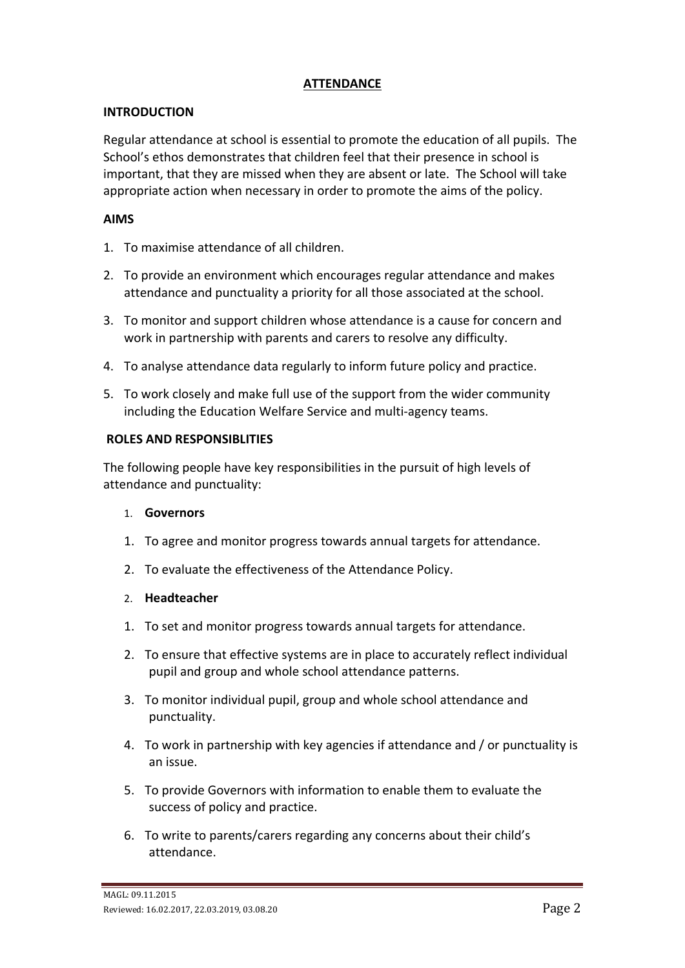# **ATTENDANCE**

## **INTRODUCTION**

Regular attendance at school is essential to promote the education of all pupils. The School's ethos demonstrates that children feel that their presence in school is important, that they are missed when they are absent or late. The School will take appropriate action when necessary in order to promote the aims of the policy.

### **AIMS**

- 1. To maximise attendance of all children.
- 2. To provide an environment which encourages regular attendance and makes attendance and punctuality a priority for all those associated at the school.
- 3. To monitor and support children whose attendance is a cause for concern and work in partnership with parents and carers to resolve any difficulty.
- 4. To analyse attendance data regularly to inform future policy and practice.
- 5. To work closely and make full use of the support from the wider community including the Education Welfare Service and multi-agency teams.

### **ROLES AND RESPONSIBLITIES**

The following people have key responsibilities in the pursuit of high levels of attendance and punctuality:

#### 1. **Governors**

- 1. To agree and monitor progress towards annual targets for attendance.
- 2. To evaluate the effectiveness of the Attendance Policy.

#### 2. **Headteacher**

- 1. To set and monitor progress towards annual targets for attendance.
- 2. To ensure that effective systems are in place to accurately reflect individual pupil and group and whole school attendance patterns.
- 3. To monitor individual pupil, group and whole school attendance and punctuality.
- 4. To work in partnership with key agencies if attendance and / or punctuality is an issue.
- 5. To provide Governors with information to enable them to evaluate the success of policy and practice.
- 6. To write to parents/carers regarding any concerns about their child's attendance.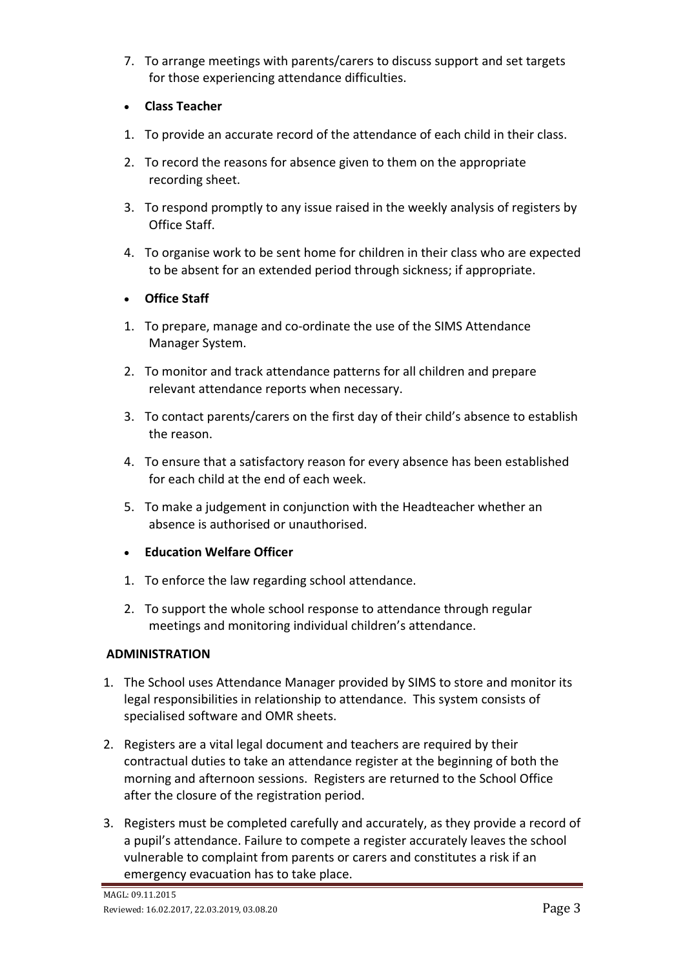- 7. To arrange meetings with parents/carers to discuss support and set targets for those experiencing attendance difficulties.
- **Class Teacher**
- 1. To provide an accurate record of the attendance of each child in their class.
- 2. To record the reasons for absence given to them on the appropriate recording sheet.
- 3. To respond promptly to any issue raised in the weekly analysis of registers by Office Staff.
- 4. To organise work to be sent home for children in their class who are expected to be absent for an extended period through sickness; if appropriate.

# • **Office Staff**

- 1. To prepare, manage and co-ordinate the use of the SIMS Attendance Manager System.
- 2. To monitor and track attendance patterns for all children and prepare relevant attendance reports when necessary.
- 3. To contact parents/carers on the first day of their child's absence to establish the reason.
- 4. To ensure that a satisfactory reason for every absence has been established for each child at the end of each week.
- 5. To make a judgement in conjunction with the Headteacher whether an absence is authorised or unauthorised.
- **Education Welfare Officer**
- 1. To enforce the law regarding school attendance.
- 2. To support the whole school response to attendance through regular meetings and monitoring individual children's attendance.

# **ADMINISTRATION**

- 1. The School uses Attendance Manager provided by SIMS to store and monitor its legal responsibilities in relationship to attendance. This system consists of specialised software and OMR sheets.
- 2. Registers are a vital legal document and teachers are required by their contractual duties to take an attendance register at the beginning of both the morning and afternoon sessions. Registers are returned to the School Office after the closure of the registration period.
- 3. Registers must be completed carefully and accurately, as they provide a record of a pupil's attendance. Failure to compete a register accurately leaves the school vulnerable to complaint from parents or carers and constitutes a risk if an emergency evacuation has to take place.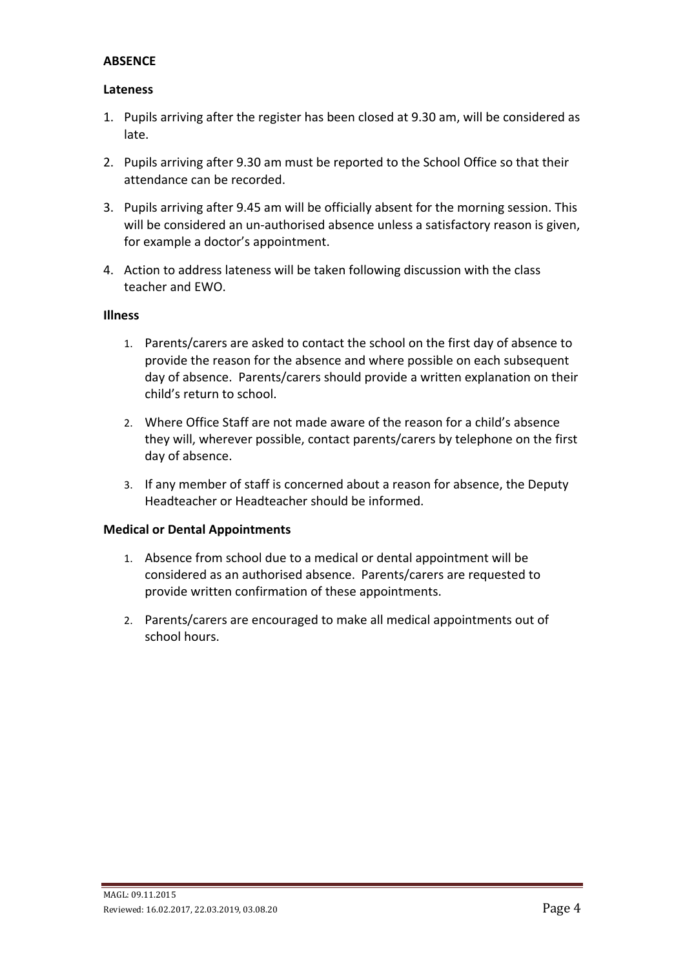### **ABSENCE**

#### **Lateness**

- 1. Pupils arriving after the register has been closed at 9.30 am, will be considered as late.
- 2. Pupils arriving after 9.30 am must be reported to the School Office so that their attendance can be recorded.
- 3. Pupils arriving after 9.45 am will be officially absent for the morning session. This will be considered an un-authorised absence unless a satisfactory reason is given, for example a doctor's appointment.
- 4. Action to address lateness will be taken following discussion with the class teacher and EWO.

#### **Illness**

- 1. Parents/carers are asked to contact the school on the first day of absence to provide the reason for the absence and where possible on each subsequent day of absence. Parents/carers should provide a written explanation on their child's return to school.
- 2. Where Office Staff are not made aware of the reason for a child's absence they will, wherever possible, contact parents/carers by telephone on the first day of absence.
- 3. If any member of staff is concerned about a reason for absence, the Deputy Headteacher or Headteacher should be informed.

#### **Medical or Dental Appointments**

- 1. Absence from school due to a medical or dental appointment will be considered as an authorised absence. Parents/carers are requested to provide written confirmation of these appointments.
- 2. Parents/carers are encouraged to make all medical appointments out of school hours.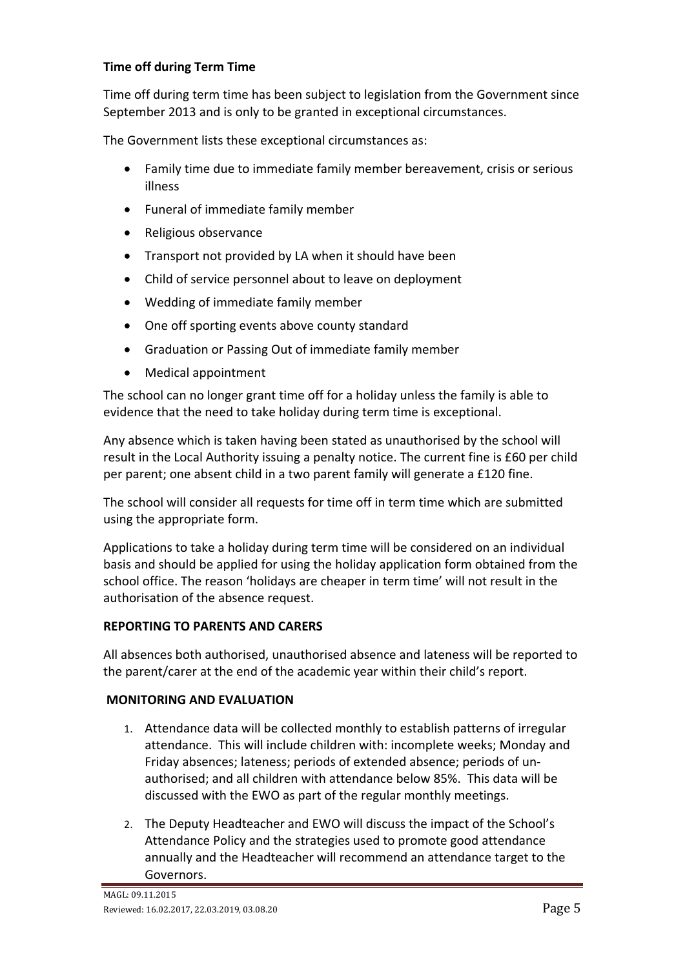# **Time off during Term Time**

Time off during term time has been subject to legislation from the Government since September 2013 and is only to be granted in exceptional circumstances.

The Government lists these exceptional circumstances as:

- Family time due to immediate family member bereavement, crisis or serious illness
- Funeral of immediate family member
- Religious observance
- Transport not provided by LA when it should have been
- Child of service personnel about to leave on deployment
- Wedding of immediate family member
- One off sporting events above county standard
- Graduation or Passing Out of immediate family member
- Medical appointment

The school can no longer grant time off for a holiday unless the family is able to evidence that the need to take holiday during term time is exceptional.

Any absence which is taken having been stated as unauthorised by the school will result in the Local Authority issuing a penalty notice. The current fine is £60 per child per parent; one absent child in a two parent family will generate a £120 fine.

The school will consider all requests for time off in term time which are submitted using the appropriate form.

Applications to take a holiday during term time will be considered on an individual basis and should be applied for using the holiday application form obtained from the school office. The reason 'holidays are cheaper in term time' will not result in the authorisation of the absence request.

# **REPORTING TO PARENTS AND CARERS**

All absences both authorised, unauthorised absence and lateness will be reported to the parent/carer at the end of the academic year within their child's report.

# **MONITORING AND EVALUATION**

- 1. Attendance data will be collected monthly to establish patterns of irregular attendance. This will include children with: incomplete weeks; Monday and Friday absences; lateness; periods of extended absence; periods of unauthorised; and all children with attendance below 85%. This data will be discussed with the EWO as part of the regular monthly meetings.
- 2. The Deputy Headteacher and EWO will discuss the impact of the School's Attendance Policy and the strategies used to promote good attendance annually and the Headteacher will recommend an attendance target to the Governors.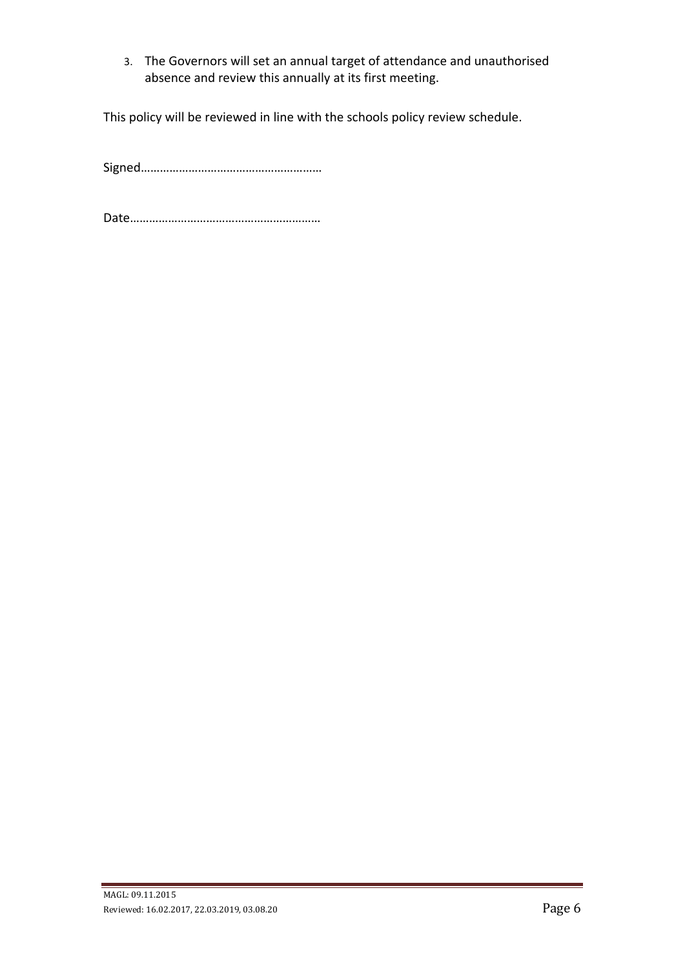3. The Governors will set an annual target of attendance and unauthorised absence and review this annually at its first meeting.

This policy will be reviewed in line with the schools policy review schedule.

Signed…………………………………………………

Date……………………………………………………